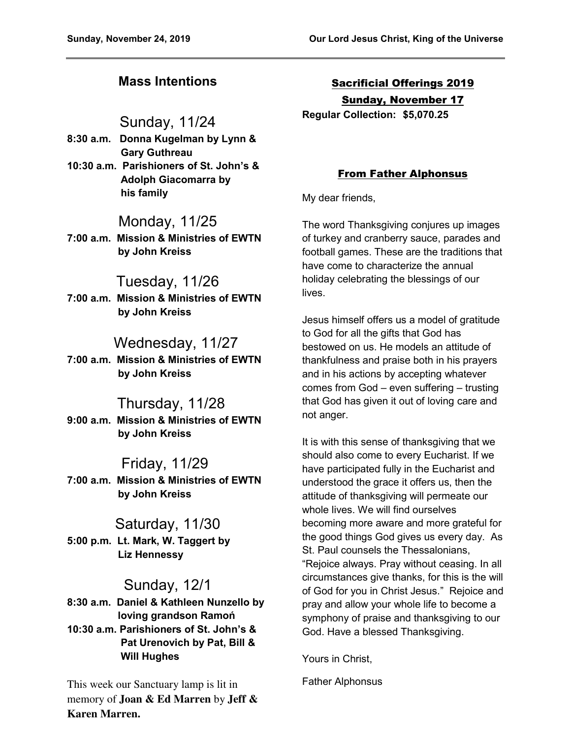# **Mass Intentions**

## Sunday, 11/24

- **8:30 a.m. Donna Kugelman by Lynn & Gary Guthreau**
- **10:30 a.m. Parishioners of St. John's & Adolph Giacomarra by his family**

# Monday, 11/25

**7:00 a.m. Mission & Ministries of EWTN by John Kreiss** 

## Tuesday, 11/26

**7:00 a.m. Mission & Ministries of EWTN by John Kreiss** 

# Wednesday, 11/27

**7:00 a.m. Mission & Ministries of EWTN by John Kreiss** 

## Thursday, 11/28

**9:00 a.m. Mission & Ministries of EWTN by John Kreiss** 

## Friday, 11/29

**7:00 a.m. Mission & Ministries of EWTN by John Kreiss** 

# Saturday, 11/30

**5:00 p.m. Lt. Mark, W. Taggert by Liz Hennessy** 

## Sunday, 12/1

**8:30 a.m. Daniel & Kathleen Nunzello by loving grandson Ramoń 10:30 a.m. Parishioners of St. John's & Pat Urenovich by Pat, Bill & Will Hughes** 

This week our Sanctuary lamp is lit in memory of **Joan & Ed Marren** by **Jeff & Karen Marren.** 

Sacrificial Offerings 2019 Sunday, November 17

**Regular Collection: \$5,070.25**

### From Father Alphonsus

My dear friends,

The word Thanksgiving conjures up images of turkey and cranberry sauce, parades and football games. These are the traditions that have come to characterize the annual holiday celebrating the blessings of our lives.

Jesus himself offers us a model of gratitude to God for all the gifts that God has bestowed on us. He models an attitude of thankfulness and praise both in his prayers and in his actions by accepting whatever comes from God – even suffering – trusting that God has given it out of loving care and not anger.

It is with this sense of thanksgiving that we should also come to every Eucharist. If we have participated fully in the Eucharist and understood the grace it offers us, then the attitude of thanksgiving will permeate our whole lives. We will find ourselves becoming more aware and more grateful for the good things God gives us every day. As St. Paul counsels the Thessalonians, "Rejoice always. Pray without ceasing. In all circumstances give thanks, for this is the will of God for you in Christ Jesus." Rejoice and pray and allow your whole life to become a symphony of praise and thanksgiving to our God. Have a blessed Thanksgiving.

Yours in Christ,

Father Alphonsus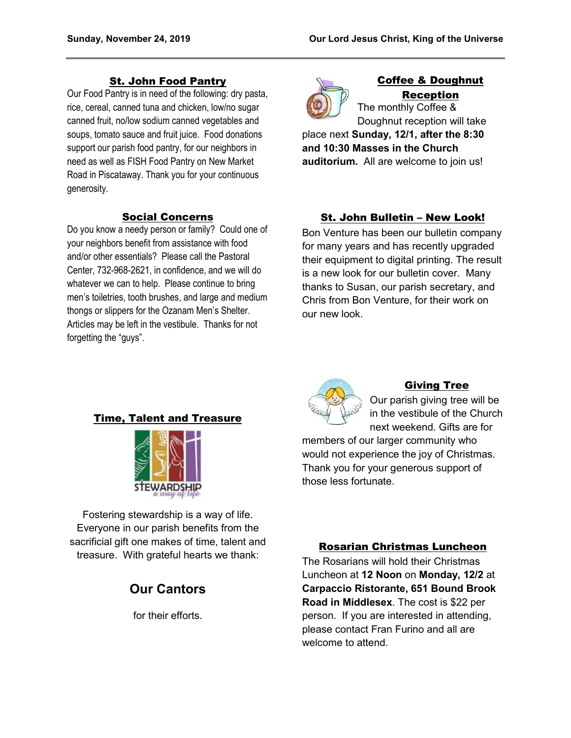#### St. John Food Pantry

Our Food Pantry is in need of the following: dry pasta, rice, cereal, canned tuna and chicken, low/no sugar canned fruit, no/low sodium canned vegetables and soups, tomato sauce and fruit juice. Food donations support our parish food pantry, for our neighbors in need as well as FISH Food Pantry on New Market Road in Piscataway. Thank you for your continuous generosity.

#### Social Concerns

Do you know a needy person or family? Could one of your neighbors benefit from assistance with food and/or other essentials? Please call the Pastoral Center, 732-968-2621, in confidence, and we will do whatever we can to help. Please continue to bring men's toiletries, tooth brushes, and large and medium thongs or slippers for the Ozanam Men's Shelter. Articles may be left in the vestibule. Thanks for not forgetting the "guys".



### Coffee & Doughnut Reception

The monthly Coffee & Doughnut reception will take

place next **Sunday, 12/1, after the 8:30 and 10:30 Masses in the Church auditorium.** All are welcome to join us!

### St. John Bulletin – New Look!

Bon Venture has been our bulletin company for many years and has recently upgraded their equipment to digital printing. The result is a new look for our bulletin cover. Many thanks to Susan, our parish secretary, and Chris from Bon Venture, for their work on our new look.

#### Time, Talent and Treasure



Fostering stewardship is a way of life. Everyone in our parish benefits from the sacrificial gift one makes of time, talent and treasure. With grateful hearts we thank:

# **Our Cantors**

for their efforts.



#### Giving Tree

Our parish giving tree will be in the vestibule of the Church next weekend. Gifts are for

members of our larger community who would not experience the joy of Christmas. Thank you for your generous support of those less fortunate.

#### Rosarian Christmas Luncheon

The Rosarians will hold their Christmas Luncheon at **12 Noon** on **Monday, 12/2** at **Carpaccio Ristorante, 651 Bound Brook Road in Middlesex**. The cost is \$22 per person. If you are interested in attending, please contact Fran Furino and all are welcome to attend.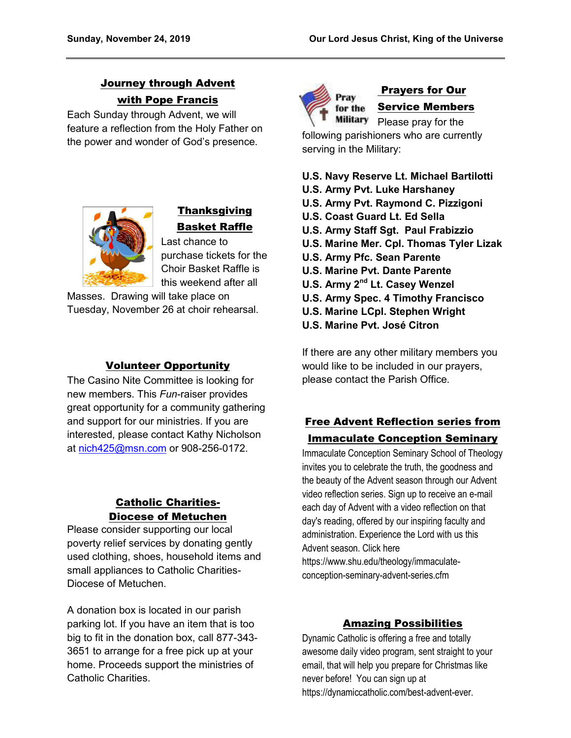# Journey through Advent with Pope Francis

Each Sunday through Advent, we will feature a reflection from the Holy Father on the power and wonder of God's presence.



# **Thanksgiving** Basket Raffle

Last chance to purchase tickets for the Choir Basket Raffle is this weekend after all

Masses. Drawing will take place on Tuesday, November 26 at choir rehearsal.

#### Volunteer Opportunity

The Casino Nite Committee is looking for new members. This *Fun*-raiser provides great opportunity for a community gathering and support for our ministries. If you are interested, please contact Kathy Nicholson at [nich425@msn.com](mailto:nich425@msn.com) or 908-256-0172.

### Catholic Charities-Diocese of Metuchen

Please consider supporting our local poverty relief services by donating gently used clothing, shoes, household items and small appliances to Catholic Charities-Diocese of Metuchen.

A donation box is located in our parish parking lot. If you have an item that is too big to fit in the donation box, call 877-343- 3651 to arrange for a free pick up at your home. Proceeds support the ministries of Catholic Charities.



# Prayers for Our Service Members

Please pray for the following parishioners who are currently serving in the Military:

#### **U.S. Navy Reserve Lt. Michael Bartilotti**

- **U.S. Army Pvt. Luke Harshaney**
- **U.S. Army Pvt. Raymond C. Pizzigoni**
- **U.S. Coast Guard Lt. Ed Sella**
- **U.S. Army Staff Sgt. Paul Frabizzio**
- **U.S. Marine Mer. Cpl. Thomas Tyler Lizak**
- **U.S. Army Pfc. Sean Parente**
- **U.S. Marine Pvt. Dante Parente**
- **U.S. Army 2nd Lt. Casey Wenzel**
- **U.S. Army Spec. 4 Timothy Francisco**
- **U.S. Marine LCpl. Stephen Wright**
- **U.S. Marine Pvt. José Citron**

If there are any other military members you would like to be included in our prayers, please contact the Parish Office.

### Free Advent Reflection series from Immaculate Conception Seminary

Immaculate Conception Seminary School of Theology invites you to celebrate the truth, the goodness and the beauty of the Advent season through our Advent video reflection series. Sign up to receive an e-mail each day of Advent with a video reflection on that day's reading, offered by our inspiring faculty and administration. Experience the Lord with us this Advent season. Click here https://www.shu.edu/theology/immaculateconception-seminary-advent-series.cfm

### Amazing Possibilities

Dynamic Catholic is offering a free and totally awesome daily video program, sent straight to your email, that will help you prepare for Christmas like never before! You can sign up at https://dynamiccatholic.com/best-advent-ever.